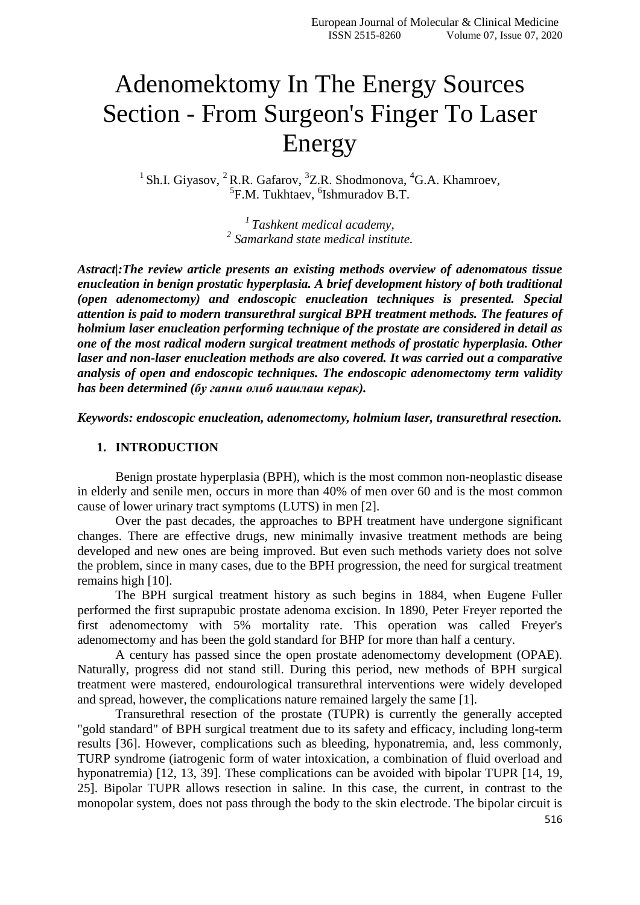## Adenomektomy In The Energy Sources Section - From Surgeon's Finger To Laser Energy

<sup>1</sup> Sh.I. Giyasov, <sup>2</sup> R.R. Gafarov, <sup>3</sup>Z.R. Shodmonova, <sup>4</sup>G.A. Khamroev, <sup>5</sup>F.M. Tukhtaev, <sup>6</sup>Ishmuradov B.T.

> *<sup>1</sup>Tashkent medical academy, 2 Samarkand state medical institute.*

*Astract|:The review article presents an existing methods overview of adenomatous tissue enucleation in benign prostatic hyperplasia. A brief development history of both traditional (open adenomectomy) and endoscopic enucleation techniques is presented. Special attention is paid to modern transurethral surgical BPH treatment methods. The features of holmium laser enucleation performing technique of the prostate are considered in detail as one of the most radical modern surgical treatment methods of prostatic hyperplasia. Other laser and non-laser enucleation methods are also covered. It was carried out a comparative analysis of open and endoscopic techniques. The endoscopic adenomectomy term validity has been determined (бу гапни олиб иашлаш керак).*

*Keywords: endoscopic enucleation, adenomectomy, holmium laser, transurethral resection.*

## **1. INTRODUCTION**

Benign prostate hyperplasia (BPH), which is the most common non-neoplastic disease in elderly and senile men, occurs in more than 40% of men over 60 and is the most common cause of lower urinary tract symptoms (LUTS) in men [2].

Over the past decades, the approaches to BPH treatment have undergone significant changes. There are effective drugs, new minimally invasive treatment methods are being developed and new ones are being improved. But even such methods variety does not solve the problem, since in many cases, due to the BPH progression, the need for surgical treatment remains high [10].

The BPH surgical treatment history as such begins in 1884, when Eugene Fuller performed the first suprapubic prostate adenoma excision. In 1890, Peter Freyer reported the first adenomectomy with 5% mortality rate. This operation was called Freyer's adenomectomy and has been the gold standard for BHP for more than half a century.

A century has passed since the open prostate adenomectomy development (OPAE). Naturally, progress did not stand still. During this period, new methods of BPH surgical treatment were mastered, endourological transurethral interventions were widely developed and spread, however, the complications nature remained largely the same [1].

Transurethral resection of the prostate (TUPR) is currently the generally accepted "gold standard" of BPH surgical treatment due to its safety and efficacy, including long-term results [36]. However, complications such as bleeding, hyponatremia, and, less commonly, TURP syndrome (iatrogenic form of water intoxication, a combination of fluid overload and hyponatremia) [12, 13, 39]. These complications can be avoided with bipolar TUPR [14, 19, 25]. Bipolar TUPR allows resection in saline. In this case, the current, in contrast to the monopolar system, does not pass through the body to the skin electrode. The bipolar circuit is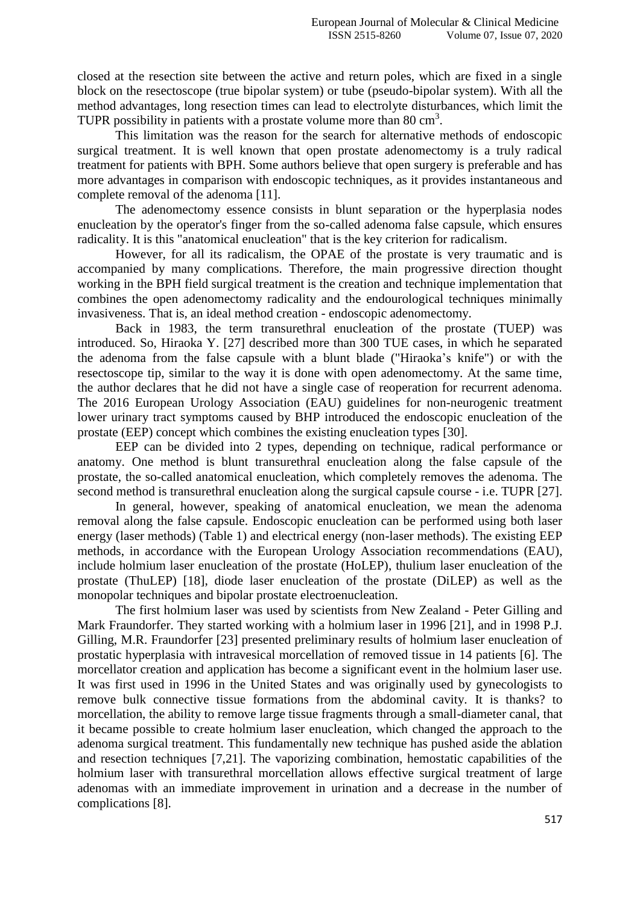closed at the resection site between the active and return poles, which are fixed in a single block on the resectoscope (true bipolar system) or tube (pseudo-bipolar system). With all the method advantages, long resection times can lead to electrolyte disturbances, which limit the TUPR possibility in patients with a prostate volume more than  $80 \text{ cm}^3$ .

This limitation was the reason for the search for alternative methods of endoscopic surgical treatment. It is well known that open prostate adenomectomy is a truly radical treatment for patients with BPH. Some authors believe that open surgery is preferable and has more advantages in comparison with endoscopic techniques, as it provides instantaneous and complete removal of the adenoma [11].

The adenomectomy essence consists in blunt separation or the hyperplasia nodes enucleation by the operator's finger from the so-called adenoma false capsule, which ensures radicality. It is this "anatomical enucleation" that is the key criterion for radicalism.

However, for all its radicalism, the OPAE of the prostate is very traumatic and is accompanied by many complications. Therefore, the main progressive direction thought working in the BPH field surgical treatment is the creation and technique implementation that combines the open adenomectomy radicality and the endourological techniques minimally invasiveness. That is, an ideal method creation - endoscopic adenomectomy.

Back in 1983, the term transurethral enucleation of the prostate (TUEP) was introduced. So, Hiraoka Y. [27] described more than 300 TUE cases, in which he separated the adenoma from the false capsule with a blunt blade ("Hiraoka"s knife") or with the resectoscope tip, similar to the way it is done with open adenomectomy. At the same time, the author declares that he did not have a single case of reoperation for recurrent adenoma. The 2016 European Urology Association (EAU) guidelines for non-neurogenic treatment lower urinary tract symptoms caused by BHP introduced the endoscopic enucleation of the prostate (EEP) concept which combines the existing enucleation types [30].

EEP can be divided into 2 types, depending on technique, radical performance or anatomy. One method is blunt transurethral enucleation along the false capsule of the prostate, the so-called anatomical enucleation, which completely removes the adenoma. The second method is transurethral enucleation along the surgical capsule course - i.e. TUPR [27].

In general, however, speaking of anatomical enucleation, we mean the adenoma removal along the false capsule. Endoscopic enucleation can be performed using both laser energy (laser methods) (Table 1) and electrical energy (non-laser methods). The existing EEP methods, in accordance with the European Urology Association recommendations (EAU), include holmium laser enucleation of the prostate (HoLEP), thulium laser enucleation of the prostate (ThuLEP) [18], diode laser enucleation of the prostate (DiLEP) as well as the monopolar techniques and bipolar prostate electroenucleation.

The first holmium laser was used by scientists from New Zealand - Peter Gilling and Mark Fraundorfer. They started working with a holmium laser in 1996 [21], and in 1998 P.J. Gilling, M.R. Fraundorfer [23] presented preliminary results of holmium laser enucleation of prostatic hyperplasia with intravesical morcellation of removed tissue in 14 patients [6]. The morcellator creation and application has become a significant event in the holmium laser use. It was first used in 1996 in the United States and was originally used by gynecologists to remove bulk connective tissue formations from the abdominal cavity. It is thanks? to morcellation, the ability to remove large tissue fragments through a small-diameter canal, that it became possible to create holmium laser enucleation, which changed the approach to the adenoma surgical treatment. This fundamentally new technique has pushed aside the ablation and resection techniques [7,21]. The vaporizing combination, hemostatic capabilities of the holmium laser with transurethral morcellation allows effective surgical treatment of large adenomas with an immediate improvement in urination and a decrease in the number of complications [8].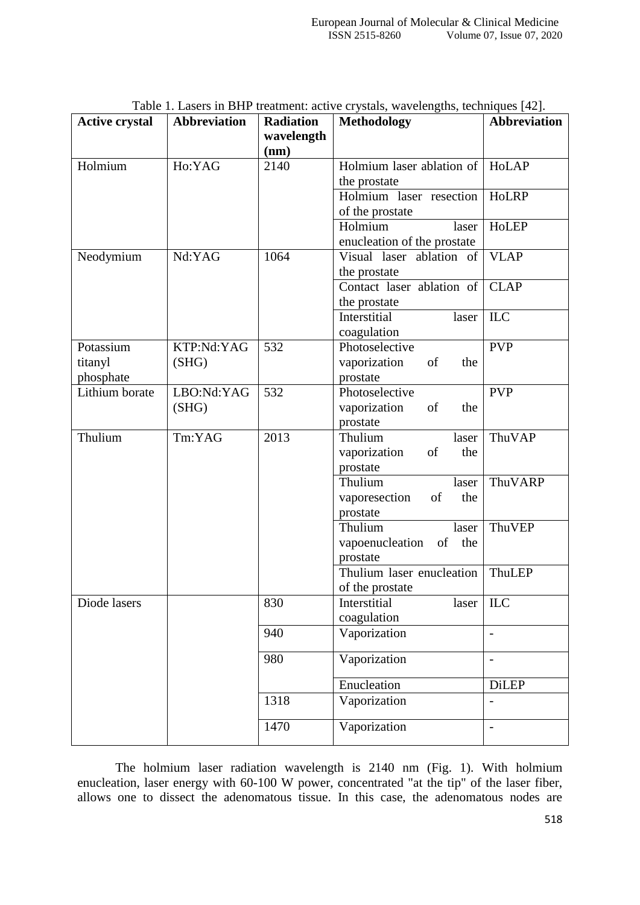| <b>Active crystal</b> | <b>Abbreviation</b> | <b>Radiation</b> | Table 1. Lasels in DTIF treatment. active crystals, wavelengths, techniques $[42]$ .<br><b>Methodology</b> | <b>Abbreviation</b>      |
|-----------------------|---------------------|------------------|------------------------------------------------------------------------------------------------------------|--------------------------|
|                       |                     | wavelength       |                                                                                                            |                          |
|                       |                     | (nm)             |                                                                                                            |                          |
| Holmium               | Ho:YAG              | 2140             | Holmium laser ablation of                                                                                  | HoLAP                    |
|                       |                     |                  | the prostate                                                                                               |                          |
|                       |                     |                  | Holmium laser resection                                                                                    | HoLRP                    |
|                       |                     |                  | of the prostate                                                                                            |                          |
|                       |                     |                  | Holmium<br>laser                                                                                           | HoLEP                    |
|                       |                     |                  | enucleation of the prostate                                                                                |                          |
| Neodymium             | Nd:YAG              | 1064             | Visual laser ablation of                                                                                   | <b>VLAP</b>              |
|                       |                     |                  | the prostate                                                                                               |                          |
|                       |                     |                  | Contact laser ablation of                                                                                  | <b>CLAP</b>              |
|                       |                     |                  | the prostate                                                                                               |                          |
|                       |                     |                  | Interstitial<br>laser                                                                                      | <b>ILC</b>               |
|                       |                     |                  | coagulation                                                                                                |                          |
| Potassium             | KTP:Nd:YAG          | 532              | Photoselective                                                                                             | <b>PVP</b>               |
| titanyl               | (SHG)               |                  | vaporization<br>of<br>the                                                                                  |                          |
| phosphate             |                     |                  | prostate                                                                                                   |                          |
| Lithium borate        | LBO:Nd:YAG          | 532              | Photoselective                                                                                             | <b>PVP</b>               |
|                       | (SHG)               |                  | vaporization<br>of<br>the                                                                                  |                          |
|                       |                     |                  | prostate                                                                                                   |                          |
| Thulium               | Tm:YAG              | 2013             | Thulium<br>laser                                                                                           | ThuVAP                   |
|                       |                     |                  | of<br>vaporization<br>the                                                                                  |                          |
|                       |                     |                  | prostate                                                                                                   |                          |
|                       |                     |                  | Thulium<br>laser                                                                                           | ThuVARP                  |
|                       |                     |                  | vaporesection<br>of<br>the                                                                                 |                          |
|                       |                     |                  | prostate<br>Thulium                                                                                        | ThuVEP                   |
|                       |                     |                  | laser<br>vapoenucleation<br>of<br>the                                                                      |                          |
|                       |                     |                  | prostate                                                                                                   |                          |
|                       |                     |                  | Thulium laser enucleation                                                                                  | ThuLEP                   |
|                       |                     |                  | of the prostate                                                                                            |                          |
| Diode lasers          |                     | 830              | Interstitial<br>laser                                                                                      | ILC                      |
|                       |                     |                  | coagulation                                                                                                |                          |
|                       |                     | 940              | Vaporization                                                                                               | $\overline{a}$           |
|                       |                     | 980              | Vaporization                                                                                               |                          |
|                       |                     |                  |                                                                                                            | $\overline{\phantom{0}}$ |
|                       |                     |                  | Enucleation                                                                                                | <b>DiLEP</b>             |
|                       |                     | 1318             | Vaporization                                                                                               |                          |
|                       |                     | 1470             | Vaporization                                                                                               |                          |

Table 1. Lasers in BHP treatment: active crystals, wavelengths, techniques [42].

The holmium laser radiation wavelength is 2140 nm (Fig. 1). With holmium enucleation, laser energy with 60-100 W power, concentrated "at the tip" of the laser fiber, allows one to dissect the adenomatous tissue. In this case, the adenomatous nodes are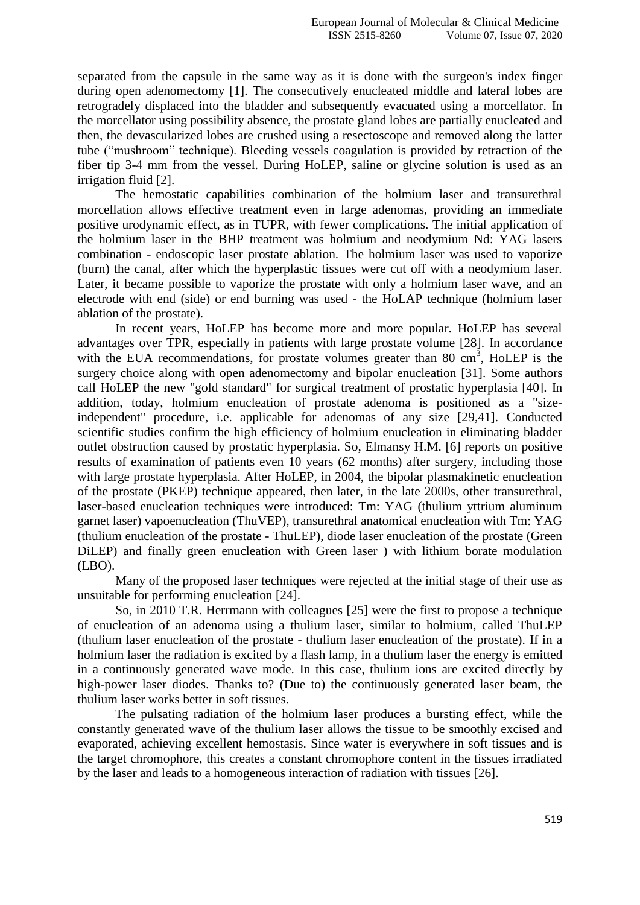separated from the capsule in the same way as it is done with the surgeon's index finger during open adenomectomy [1]. The consecutively enucleated middle and lateral lobes are retrogradely displaced into the bladder and subsequently evacuated using a morcellator. In the morcellator using possibility absence, the prostate gland lobes are partially enucleated and then, the devascularized lobes are crushed using a resectoscope and removed along the latter tube ("mushroom" technique). Bleeding vessels coagulation is provided by retraction of the fiber tip 3-4 mm from the vessel. During HoLEP, saline or glycine solution is used as an irrigation fluid [2].

The hemostatic capabilities combination of the holmium laser and transurethral morcellation allows effective treatment even in large adenomas, providing an immediate positive urodynamic effect, as in TUPR, with fewer complications. The initial application of the holmium laser in the BHP treatment was holmium and neodymium Nd: YAG lasers combination - endoscopic laser prostate ablation. The holmium laser was used to vaporize (burn) the canal, after which the hyperplastic tissues were cut off with a neodymium laser. Later, it became possible to vaporize the prostate with only a holmium laser wave, and an electrode with end (side) or end burning was used - the HoLAP technique (holmium laser ablation of the prostate).

In recent years, HoLEP has become more and more popular. HoLEP has several advantages over TPR, especially in patients with large prostate volume [28]. In accordance with the EUA recommendations, for prostate volumes greater than 80  $\text{cm}^3$ , HoLEP is the surgery choice along with open adenomectomy and bipolar enucleation [31]. Some authors call HoLEP the new "gold standard" for surgical treatment of prostatic hyperplasia [40]. In addition, today, holmium enucleation of prostate adenoma is positioned as a "sizeindependent" procedure, i.e. applicable for adenomas of any size [29,41]. Conducted scientific studies confirm the high efficiency of holmium enucleation in eliminating bladder outlet obstruction caused by prostatic hyperplasia. So, Elmansy H.M. [6] reports on positive results of examination of patients even 10 years (62 months) after surgery, including those with large prostate hyperplasia. After HoLEP, in 2004, the bipolar plasmakinetic enucleation of the prostate (PKEP) technique appeared, then later, in the late 2000s, other transurethral, laser-based enucleation techniques were introduced: Tm: YAG (thulium yttrium aluminum garnet laser) vapoenucleation (ThuVEP), transurethral anatomical enucleation with Tm: YAG (thulium enucleation of the prostate - ThuLEP), diode laser enucleation of the prostate (Green DiLEP) and finally green enucleation with Green laser ) with lithium borate modulation (LBO).

Many of the proposed laser techniques were rejected at the initial stage of their use as unsuitable for performing enucleation [24].

So, in 2010 T.R. Herrmann with colleagues [25] were the first to propose a technique of enucleation of an adenoma using a thulium laser, similar to holmium, called ThuLEP (thulium laser enucleation of the prostate - thulium laser enucleation of the prostate). If in a holmium laser the radiation is excited by a flash lamp, in a thulium laser the energy is emitted in a continuously generated wave mode. In this case, thulium ions are excited directly by high-power laser diodes. Thanks to? (Due to) the continuously generated laser beam, the thulium laser works better in soft tissues.

The pulsating radiation of the holmium laser produces a bursting effect, while the constantly generated wave of the thulium laser allows the tissue to be smoothly excised and evaporated, achieving excellent hemostasis. Since water is everywhere in soft tissues and is the target chromophore, this creates a constant chromophore content in the tissues irradiated by the laser and leads to a homogeneous interaction of radiation with tissues [26].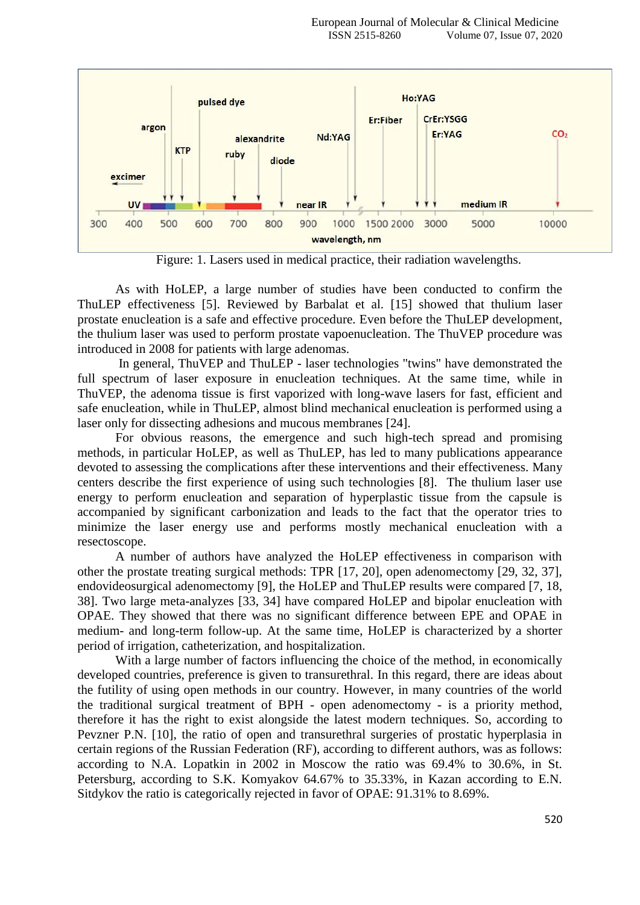

Figure: 1. Lasers used in medical practice, their radiation wavelengths.

As with HoLEP, a large number of studies have been conducted to confirm the ThuLEP effectiveness [5]. Reviewed by Barbalat et al. [15] showed that thulium laser prostate enucleation is a safe and effective procedure. Even before the ThuLEP development, the thulium laser was used to perform prostate vapoenucleation. The ThuVEP procedure was introduced in 2008 for patients with large adenomas.

In general, ThuVEP and ThuLEP - laser technologies "twins" have demonstrated the full spectrum of laser exposure in enucleation techniques. At the same time, while in ThuVEP, the adenoma tissue is first vaporized with long-wave lasers for fast, efficient and safe enucleation, while in ThuLEP, almost blind mechanical enucleation is performed using a laser only for dissecting adhesions and mucous membranes [24].

For obvious reasons, the emergence and such high-tech spread and promising methods, in particular HoLEP, as well as ThuLEP, has led to many publications appearance devoted to assessing the complications after these interventions and their effectiveness. Many centers describe the first experience of using such technologies [8]. The thulium laser use energy to perform enucleation and separation of hyperplastic tissue from the capsule is accompanied by significant carbonization and leads to the fact that the operator tries to minimize the laser energy use and performs mostly mechanical enucleation with a resectoscope.

A number of authors have analyzed the HoLEP effectiveness in comparison with other the prostate treating surgical methods: TPR [17, 20], open adenomectomy [29, 32, 37], endovideosurgical adenomectomy [9], the HoLEP and ThuLEP results were compared [7, 18, 38]. Two large meta-analyzes [33, 34] have compared HoLEP and bipolar enucleation with OPAE. They showed that there was no significant difference between EPE and OPAE in medium- and long-term follow-up. At the same time, HoLEP is characterized by a shorter period of irrigation, catheterization, and hospitalization.

With a large number of factors influencing the choice of the method, in economically developed countries, preference is given to transurethral. In this regard, there are ideas about the futility of using open methods in our country. However, in many countries of the world the traditional surgical treatment of BPH - open adenomectomy - is a priority method, therefore it has the right to exist alongside the latest modern techniques. So, according to Pevzner P.N. [10], the ratio of open and transurethral surgeries of prostatic hyperplasia in certain regions of the Russian Federation (RF), according to different authors, was as follows: according to N.A. Lopatkin in 2002 in Moscow the ratio was 69.4% to 30.6%, in St. Petersburg, according to S.K. Komyakov 64.67% to 35.33%, in Kazan according to E.N. Sitdykov the ratio is categorically rejected in favor of OPAE: 91.31% to 8.69%.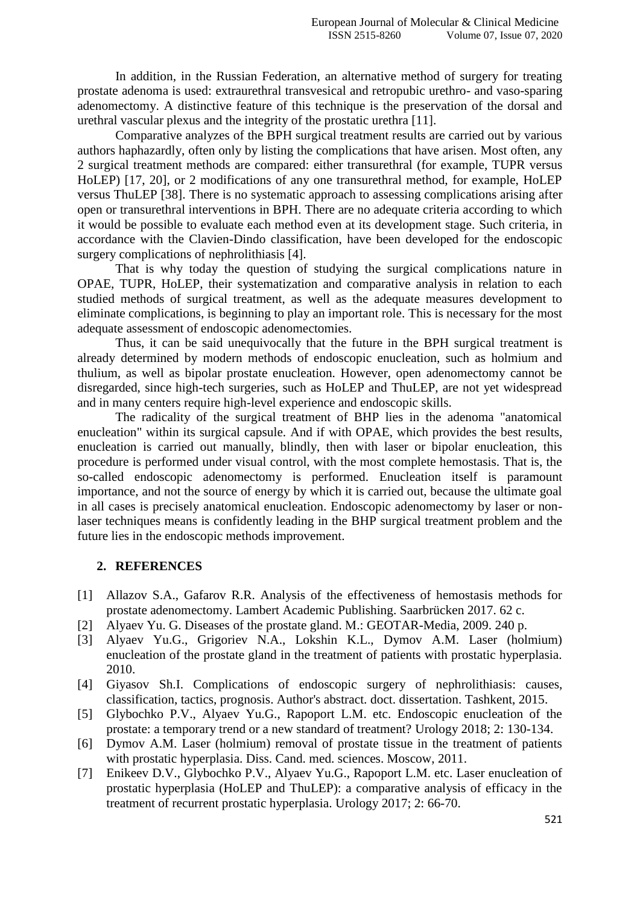In addition, in the Russian Federation, an alternative method of surgery for treating prostate adenoma is used: extraurethral transvesical and retropubic urethro- and vaso-sparing adenomectomy. A distinctive feature of this technique is the preservation of the dorsal and urethral vascular plexus and the integrity of the prostatic urethra [11].

Comparative analyzes of the BPH surgical treatment results are carried out by various authors haphazardly, often only by listing the complications that have arisen. Most often, any 2 surgical treatment methods are compared: either transurethral (for example, TUPR versus HoLEP) [17, 20], or 2 modifications of any one transurethral method, for example, HoLEP versus ThuLEP [38]. There is no systematic approach to assessing complications arising after open or transurethral interventions in BPH. There are no adequate criteria according to which it would be possible to evaluate each method even at its development stage. Such criteria, in accordance with the Clavien-Dindo classification, have been developed for the endoscopic surgery complications of nephrolithiasis [4].

That is why today the question of studying the surgical complications nature in OPAE, TUPR, HoLEP, their systematization and comparative analysis in relation to each studied methods of surgical treatment, as well as the adequate measures development to eliminate complications, is beginning to play an important role. This is necessary for the most adequate assessment of endoscopic adenomectomies.

Thus, it can be said unequivocally that the future in the BPH surgical treatment is already determined by modern methods of endoscopic enucleation, such as holmium and thulium, as well as bipolar prostate enucleation. However, open adenomectomy cannot be disregarded, since high-tech surgeries, such as HoLEP and ThuLEP, are not yet widespread and in many centers require high-level experience and endoscopic skills.

The radicality of the surgical treatment of BHP lies in the adenoma "anatomical enucleation" within its surgical capsule. And if with OPAE, which provides the best results, enucleation is carried out manually, blindly, then with laser or bipolar enucleation, this procedure is performed under visual control, with the most complete hemostasis. That is, the so-called endoscopic adenomectomy is performed. Enucleation itself is paramount importance, and not the source of energy by which it is carried out, because the ultimate goal in all cases is precisely anatomical enucleation. Endoscopic adenomectomy by laser or nonlaser techniques means is confidently leading in the BHP surgical treatment problem and the future lies in the endoscopic methods improvement.

## **2. REFERENCES**

- [1] Allazov S.A., Gafarov R.R. Analysis of the effectiveness of hemostasis methods for prostate adenomectomy. Lambert Academic Publishing. Saarbrücken 2017. 62 c.
- [2] Alyaev Yu. G. Diseases of the prostate gland. M.: GEOTAR-Media, 2009. 240 p.
- [3] Alyaev Yu.G., Grigoriev N.A., Lokshin K.L., Dymov A.M. Laser (holmium) enucleation of the prostate gland in the treatment of patients with prostatic hyperplasia. 2010.
- [4] Giyasov Sh.I. Complications of endoscopic surgery of nephrolithiasis: causes, classification, tactics, prognosis. Author's abstract. doct. dissertation. Tashkent, 2015.
- [5] Glybochko P.V., Alyaev Yu.G., Rapoport L.M. etc. Endoscopic enucleation of the prostate: a temporary trend or a new standard of treatment? Urology 2018; 2: 130-134.
- [6] Dymov A.M. Laser (holmium) removal of prostate tissue in the treatment of patients with prostatic hyperplasia. Diss. Cand. med. sciences. Moscow, 2011.
- [7] Enikeev D.V., Glybochko P.V., Alyaev Yu.G., Rapoport L.M. etc. Laser enucleation of prostatic hyperplasia (HoLEP and ThuLEP): a comparative analysis of efficacy in the treatment of recurrent prostatic hyperplasia. Urology 2017; 2: 66-70.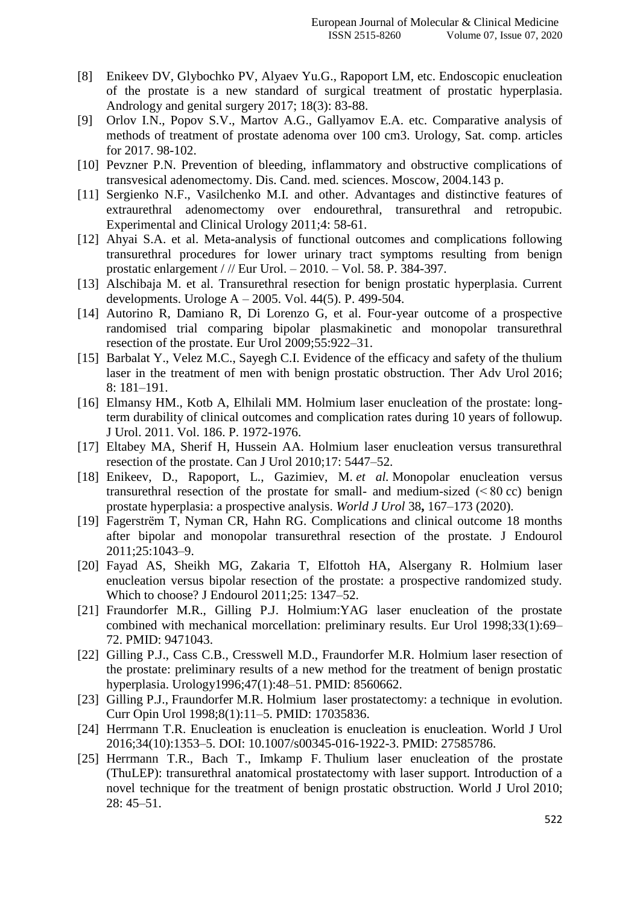- [8] Enikeev DV, Glybochko PV, Alyaev Yu.G., Rapoport LM, etc. Endoscopic enucleation of the prostate is a new standard of surgical treatment of prostatic hyperplasia. Andrology and genital surgery 2017; 18(3): 83-88.
- [9] Orlov I.N., Popov S.V., Martov A.G., Gallyamov E.A. etc. Comparative analysis of methods of treatment of prostate adenoma over 100 cm3. Urology, Sat. comp. articles for 2017. 98-102.
- [10] Pevzner P.N. Prevention of bleeding, inflammatory and obstructive complications of transvesical adenomectomy. Dis. Cand. med. sciences. Moscow, 2004.143 p.
- [11] Sergienko N.F., Vasilchenko M.I. and other. Advantages and distinctive features of extraurethral adenomectomy over endourethral, transurethral and retropubic. Experimental and Clinical Urology 2011;4: 58-61.
- [12] Ahyai S.A. et al. Meta-analysis of functional outcomes and complications following transurethral procedures for lower urinary tract symptoms resulting from benign prostatic enlargement / // Eur Urol. – 2010. – Vol. 58. P. 384-397.
- [13] Alschibaja M. et al. Transurethral resection for benign prostatic hyperplasia. Current developments. Urologe A – 2005. Vol. 44(5). P. 499-504.
- [14] Autorino R, Damiano R, Di Lorenzo G, et al. Four-year outcome of a prospective randomised trial comparing bipolar plasmakinetic and monopolar transurethral resection of the prostate. Eur Urol 2009;55:922–31.
- [15] Barbalat Y., Velez M.C., Sayegh C.I. Evidence of the efficacy and safety of the thulium laser in the treatment of men with benign prostatic obstruction. Ther Adv Urol 2016; 8: 181–191.
- [16] Elmansy HM., Kotb A, Elhilali MM. Holmium laser enucleation of the prostate: longterm durability of clinical outcomes and complication rates during 10 years of followup. J Urol. 2011. Vol. 186. P. 1972-1976.
- [17] Eltabey MA, Sherif H, Hussein AA. Holmium laser enucleation versus transurethral resection of the prostate. Can J Urol 2010;17: 5447–52.
- [18] Enikeev, D., Rapoport, L., Gazimiev, M. *et al.* Monopolar enucleation versus transurethral resection of the prostate for small- and medium-sized  $( < 80 \text{ cc})$  benign prostate hyperplasia: a prospective analysis. *World J Urol* 38**,** 167–173 (2020).
- [19] Fagerstrёm T, Nyman CR, Hahn RG. Complications and clinical outcome 18 months after bipolar and monopolar transurethral resection of the prostate. J Endourol 2011;25:1043–9.
- [20] Fayad AS, Sheikh MG, Zakaria T, Elfottoh HA, Alsergany R. Holmium laser enucleation versus bipolar resection of the prostate: a prospective randomized study. Which to choose? J Endourol 2011;25: 1347–52.
- [21] Fraundorfer M.R., Gilling P.J. Holmium:YAG laser enucleation of the prostate combined with mechanical morcellation: preliminary results. Eur Urol 1998;33(1):69– 72. PMID: 9471043.
- [22] Gilling P.J., Cass C.B., Cresswell M.D., Fraundorfer M.R. Holmium laser resection of the prostate: preliminary results of a new method for the treatment of benign prostatic hyperplasia. Urology1996;47(1):48–51. PMID: 8560662.
- [23] Gilling P.J., Fraundorfer M.R. Holmium laser prostatectomy: a technique in evolution. Curr Opin Urol 1998;8(1):11–5. PMID: 17035836.
- [24] Herrmann T.R. Enucleation is enucleation is enucleation is enucleation. World J Urol 2016;34(10):1353–5. DOI: 10.1007/s00345-016-1922-3. PMID: 27585786.
- [25] Herrmann T.R., Bach T., Imkamp F. Thulium laser enucleation of the prostate (ThuLEP): transurethral anatomical prostatectomy with laser support. Introduction of a novel technique for the treatment of benign prostatic obstruction. World J Urol 2010; 28: 45–51.